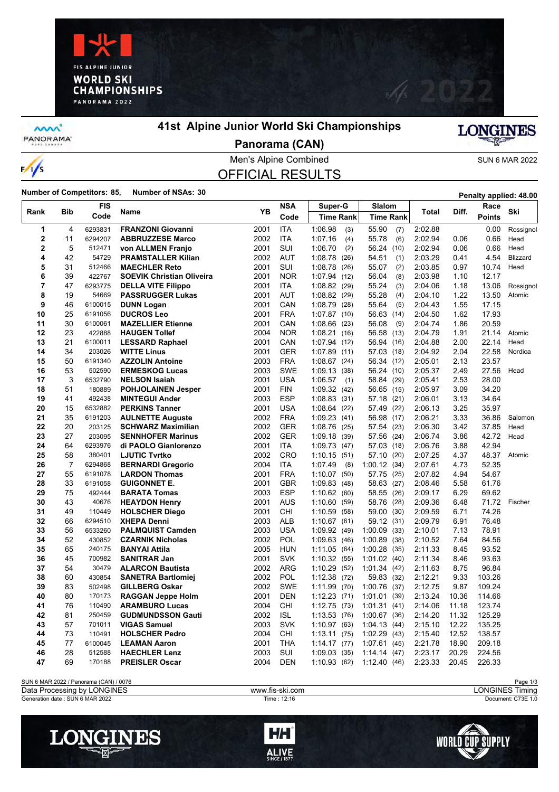



**MW** PANORAMA<sup>-</sup>

 $\frac{1}{s}$ 

#### **41st Alpine Junior World Ski Championships**



**Panorama (CAN)**

Men's Alpine Combined SUN 6 MAR 2022

# OFFICIAL RESULTS

**Number of Competitors: 85, Number of NSAs: 30 Penalty applied: 48.00 Penalty applied: 48.00** 

|                |                | <b>FIS</b> |                                  |      | <b>NSA</b> | Super-G          | Slalom           |              |       | Race          |                 |
|----------------|----------------|------------|----------------------------------|------|------------|------------------|------------------|--------------|-------|---------------|-----------------|
| Rank           | Bib            | Code       | Name                             | YB   | Code       | <b>Time Rank</b> | <b>Time Rank</b> | <b>Total</b> | Diff. | <b>Points</b> | Ski             |
| 1              | 4              | 6293831    | <b>FRANZONI Giovanni</b>         | 2001 | <b>ITA</b> | 1:06.98<br>(3)   | 55.90<br>(7)     | 2:02.88      |       | 0.00          | Rossignol       |
| $\overline{2}$ | 11             | 6294207    | <b>ABBRUZZESE Marco</b>          | 2002 | <b>ITA</b> | 1:07.16<br>(4)   | (6)<br>55.78     | 2:02.94      | 0.06  | 0.66          | Head            |
| $\overline{2}$ | 5              | 512471     | von ALLMEN Franjo                | 2001 | SUI        | 1:06.70<br>(2)   | 56.24 (10)       | 2:02.94      | 0.06  | 0.66          | Head            |
| 4              | 42             | 54729      | <b>PRAMSTALLER Kilian</b>        | 2002 | <b>AUT</b> | 1:08.78<br>(26)  | 54.51<br>(1)     | 2:03.29      | 0.41  | 4.54          | <b>Blizzard</b> |
| 5              | 31             | 512466     | <b>MAECHLER Reto</b>             | 2001 | SUI        | 1:08.78<br>(26)  | 55.07<br>(2)     | 2:03.85      | 0.97  | 10.74         | Head            |
| 6              | 39             | 422767     | <b>SOEVIK Christian Oliveira</b> | 2001 | <b>NOR</b> | 1.07.94<br>(12)  | 56.04<br>(8)     | 2:03.98      | 1.10  | 12.17         |                 |
| 7              | 47             | 6293775    | <b>DELLA VITE Filippo</b>        | 2001 | ITA        | 1:08.82<br>(29)  | 55.24<br>(3)     | 2:04.06      | 1.18  | 13.06         | Rossignol       |
| 8              | 19             | 54669      | <b>PASSRUGGER Lukas</b>          | 2001 | AUT        | 1:08.82<br>(29)  | 55.28<br>(4)     | 2:04.10      | 1.22  | 13.50         | Atomic          |
| 9              | 46             | 6100015    | <b>DUNN Logan</b>                | 2001 | CAN        | 1:08.79<br>(28)  | (5)<br>55.64     | 2:04.43      | 1.55  | 17.15         |                 |
| 10             | 25             | 6191056    | <b>DUCROS Leo</b>                | 2001 | <b>FRA</b> | 1:07.87<br>(10)  | 56.63<br>(14)    | 2:04.50      | 1.62  | 17.93         |                 |
| 11             | 30             | 6100061    | <b>MAZELLIER Etienne</b>         | 2001 | CAN        | 1:08.66<br>(23)  | 56.08<br>(9)     | 2:04.74      | 1.86  | 20.59         |                 |
| 12             | 23             | 422888     | <b>HAUGEN Tollef</b>             | 2004 | <b>NOR</b> | 1:08.21<br>(16)  | 56.58 (13)       | 2:04.79      | 1.91  | 21.14         | Atomic          |
| 13             | 21             | 6100011    | <b>LESSARD Raphael</b>           | 2001 | CAN        | 1:07.94 (12)     | 56.94 (16)       | 2:04.88      | 2.00  | 22.14         | Head            |
| 14             | 34             | 203026     | <b>WITTE Linus</b>               | 2001 | <b>GER</b> | 1:07.89<br>(11)  | 57.03 (18)       | 2:04.92      | 2.04  | 22.58         | Nordica         |
| 15             | 50             | 6191340    | <b>AZZOLIN Antoine</b>           | 2003 | <b>FRA</b> | 1:08.67(24)      | 56.34 (12)       | 2:05.01      | 2.13  | 23.57         |                 |
| 16             | 53             | 502590     | <b>ERMESKOG Lucas</b>            | 2003 | <b>SWE</b> | 1:09.13<br>(38)  | 56.24 (10)       | 2:05.37      | 2.49  | 27.56         | Head            |
| 17             | 3              | 6532790    | <b>NELSON Isaiah</b>             | 2001 | <b>USA</b> | 1:06.57<br>(1)   | 58.84 (29)       | 2:05.41      | 2.53  | 28.00         |                 |
| 18             | 51             | 180889     | <b>POHJOLAINEN Jesper</b>        | 2001 | <b>FIN</b> | 1:09.32<br>(42)  | 56.65 (15)       | 2:05.97      | 3.09  | 34.20         |                 |
| 19             | 41             | 492438     | <b>MINTEGUI Ander</b>            | 2003 | <b>ESP</b> | 1:08.83<br>(31)  | 57.18 (21)       | 2:06.01      | 3.13  | 34.64         |                 |
| 20             | 15             | 6532882    | <b>PERKINS Tanner</b>            | 2001 | <b>USA</b> | 1:08.64<br>(22)  | 57.49 (22)       | 2:06.13      | 3.25  | 35.97         |                 |
| 21             | 35             | 6191203    | <b>AULNETTE Auguste</b>          | 2002 | <b>FRA</b> | 1:09.23<br>(41)  | 56.98 (17)       | 2:06.21      | 3.33  | 36.86         | Salomon         |
| 22             | 20             | 203125     | <b>SCHWARZ Maximilian</b>        | 2002 | <b>GER</b> | 1:08.76<br>(25)  | 57.54<br>(23)    | 2:06.30      | 3.42  | 37.85         | Head            |
| 23             | 27             | 203095     | <b>SENNHOFER Marinus</b>         | 2002 | <b>GER</b> | 1:09.18<br>(39)  | 57.56<br>(24)    | 2:06.74      | 3.86  | 42.72         | Head            |
| 24             | 64             | 6293976    | di PAOLO Gianlorenzo             | 2001 | <b>ITA</b> | 1:09.73<br>(47)  | 57.03 (18)       | 2:06.76      | 3.88  | 42.94         |                 |
| 25             | 58             | 380401     | <b>LJUTIC Tvrtko</b>             | 2002 | CRO        | 1:10.15<br>(51)  | 57.10 (20)       | 2:07.25      | 4.37  | 48.37         | Atomic          |
| 26             | $\overline{7}$ | 6294868    | <b>BERNARDI Gregorio</b>         | 2004 | <b>ITA</b> | 1:07.49<br>(8)   | 1:00.12(34)      | 2:07.61      | 4.73  | 52.35         |                 |
| 27             | 55             | 6191078    | <b>LARDON Thomas</b>             | 2001 | <b>FRA</b> | 1:10.07<br>(50)  | 57.75<br>(25)    | 2:07.82      | 4.94  | 54.67         |                 |
| 28             | 33             | 6191058    | <b>GUIGONNET E.</b>              | 2001 | <b>GBR</b> | 1:09.83<br>(48)  | 58.63 (27)       | 2:08.46      | 5.58  | 61.76         |                 |
| 29             | 75             | 492444     | <b>BARATA Tomas</b>              | 2003 | <b>ESP</b> | 1:10.62(60)      | (26)<br>58.55    | 2:09.17      | 6.29  | 69.62         |                 |
| 30             | 43             | 40676      | <b>HEAYDON Henry</b>             | 2001 | <b>AUS</b> | 1:10.60<br>(59)  | 58.76<br>(28)    | 2:09.36      | 6.48  | 71.72         | Fischer         |
| 31             | 49             | 110449     | <b>HOLSCHER Diego</b>            | 2001 | CHI        | 1:10.59<br>(58)  | 59.00<br>(30)    | 2:09.59      | 6.71  | 74.26         |                 |
| 32             | 66             | 6294510    | <b>XHEPA Denni</b>               | 2003 | <b>ALB</b> | 1:10.67<br>(61)  | 59.12 (31)       | 2:09.79      | 6.91  | 76.48         |                 |
| 33             | 56             | 6533260    | <b>PALMQUIST Camden</b>          | 2003 | <b>USA</b> | 1:09.92 (49)     | 1:00.09<br>(33)  | 2:10.01      | 7.13  | 78.91         |                 |
| 34             | 52             | 430852     | <b>CZARNIK Nicholas</b>          | 2002 | POL        | 1:09.63<br>(46)  | 1:00.89(38)      | 2:10.52      | 7.64  | 84.56         |                 |
| 35             | 65             | 240175     | <b>BANYAI Attila</b>             | 2005 | <b>HUN</b> | 1:11.05<br>(64)  | 1:00.28<br>(35)  | 2:11.33      | 8.45  | 93.52         |                 |
| 36             | 45             | 700982     | <b>SANITRAR Jan</b>              | 2001 | <b>SVK</b> | 1:10.32<br>(55)  | $1:01.02$ (40)   | 2:11.34      | 8.46  | 93.63         |                 |
| 37             | 54             | 30479      | <b>ALARCON Bautista</b>          | 2002 | <b>ARG</b> | 1:10.29<br>(52)  | 1:01.34(42)      | 2:11.63      | 8.75  | 96.84         |                 |
| 38             | 60             | 430854     | <b>SANETRA Bartlomiej</b>        | 2002 | <b>POL</b> | 1:12.38<br>(72)  | 59.83 (32)       | 2:12.21      | 9.33  | 103.26        |                 |
| 39             | 83             | 502498     | <b>GILLBERG Oskar</b>            | 2002 | <b>SWE</b> | 1:11.99<br>(70)  | 1:00.76<br>(37)  | 2:12.75      | 9.87  | 109.24        |                 |
| 40             | 80             | 170173     | <b>RAGGAN Jeppe Holm</b>         | 2001 | <b>DEN</b> | 1:12.23<br>(71)  | 1:01.01(39)      | 2:13.24      | 10.36 | 114.66        |                 |
| 41             | 76             | 110490     | <b>ARAMBURO Lucas</b>            | 2004 | CHI        | 1:12.75<br>(73)  | 1:01.31(41)      | 2:14.06      | 11.18 | 123.74        |                 |
| 42             | 81             | 250459     | <b>GUDMUNDSSON Gauti</b>         | 2002 | <b>ISL</b> | 1:13.53<br>(76)  | 1:00.67(36)      | 2:14.20      | 11.32 | 125.29        |                 |
| 43             | 57             | 701011     | <b>VIGAS Samuel</b>              | 2003 | <b>SVK</b> | 1:10.97<br>(63)  | 1.04.13(44)      | 2:15.10      | 12.22 | 135.25        |                 |
| 44             | 73             | 110491     | <b>HOLSCHER Pedro</b>            | 2004 | CHI.       | 1:13.11<br>(75)  | 1:02.29(43)      | 2:15.40      | 12.52 | 138.57        |                 |
| 45             | 77             | 6100045    | <b>LEAMAN Aaron</b>              | 2001 | <b>THA</b> | 1.14.17<br>(77)  | 1:07.61(45)      | 2:21.78      | 18.90 | 209.18        |                 |
| 46             | 28             | 512588     | <b>HAECHLER Lenz</b>             | 2003 | SUI        | 1:09.03<br>(35)  | 1.14.14(47)      | 2:23.17      | 20.29 | 224.56        |                 |
| 47             | 69             | 170188     | <b>PREISLER Oscar</b>            | 2004 | <b>DEN</b> | 1:10.93(62)      | 1:12.40(46)      | 2:23.33      | 20.45 | 226.33        |                 |
|                |                |            |                                  |      |            |                  |                  |              |       |               |                 |





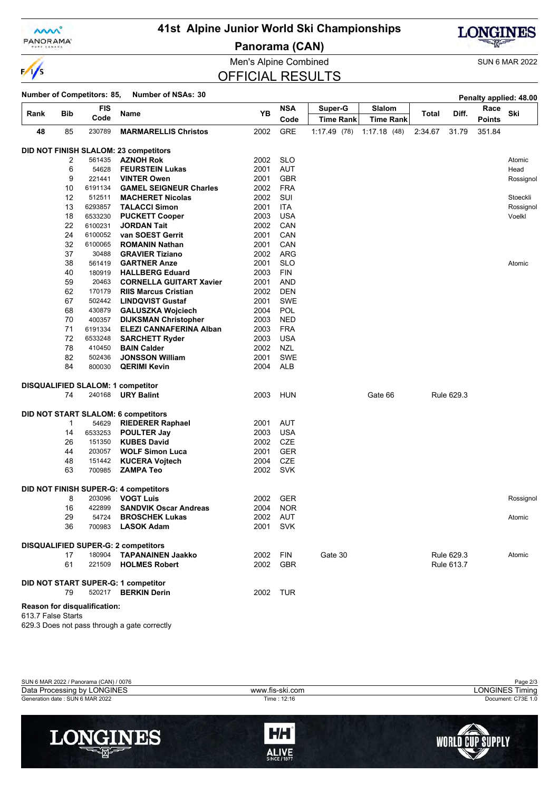

 $\frac{1}{s}$ 

## **41st Alpine Junior World Ski Championships**

**Panorama (CAN)**



Men's Alpine Combined SUN 6 MAR 2022

## OFFICIAL RESULTS

## **Number of Competitors: 85. Number of NSAs: 30.**

|                    |              |                              |                                            |      |            |                  |                  |         |            |               | Penaity applied: 48.00 |
|--------------------|--------------|------------------------------|--------------------------------------------|------|------------|------------------|------------------|---------|------------|---------------|------------------------|
| Rank               | Bib          | FIS                          | Name                                       | YΒ   | <b>NSA</b> | Super-G          | Slalom           | Total   | Diff.      | Race          | Ski                    |
|                    |              | Code                         |                                            |      | Code       | <b>Time Rank</b> | <b>Time Rank</b> |         |            | <b>Points</b> |                        |
| 48                 | 85           | 230789                       | <b>MARMARELLIS Christos</b>                | 2002 | <b>GRE</b> | 1:17.49(78)      | 1:17.18(48)      | 2:34.67 | 31.79      | 351.84        |                        |
|                    |              |                              | DID NOT FINISH SLALOM: 23 competitors      |      |            |                  |                  |         |            |               |                        |
|                    | 2            | 561435                       | <b>AZNOH Rok</b>                           | 2002 | <b>SLO</b> |                  |                  |         |            |               | Atomic                 |
|                    | 6            | 54628                        | <b>FEURSTEIN Lukas</b>                     | 2001 | AUT        |                  |                  |         |            |               | Head                   |
|                    | 9            | 221441                       | <b>VINTER Owen</b>                         | 2001 | <b>GBR</b> |                  |                  |         |            |               | Rossignol              |
|                    | 10           | 6191134                      | <b>GAMEL SEIGNEUR Charles</b>              | 2002 | <b>FRA</b> |                  |                  |         |            |               |                        |
|                    | 12           | 512511                       | <b>MACHERET Nicolas</b>                    | 2002 | SUI        |                  |                  |         |            |               | Stoeckli               |
|                    | 13           | 6293857                      | <b>TALACCI Simon</b>                       | 2001 | ITA.       |                  |                  |         |            |               | Rossignol              |
|                    | 18           | 6533230                      | <b>PUCKETT Cooper</b>                      | 2003 | <b>USA</b> |                  |                  |         |            |               | Voelkl                 |
|                    | 22           | 6100231                      | <b>JORDAN Tait</b>                         | 2002 | CAN        |                  |                  |         |            |               |                        |
|                    | 24           | 6100052                      | van SOEST Gerrit                           | 2001 | CAN        |                  |                  |         |            |               |                        |
|                    | 32           | 6100065                      | <b>ROMANIN Nathan</b>                      | 2001 | CAN        |                  |                  |         |            |               |                        |
|                    | 37           | 30488                        | <b>GRAVIER Tiziano</b>                     | 2002 | ARG        |                  |                  |         |            |               |                        |
|                    | 38           | 561419                       | <b>GARTNER Anze</b>                        | 2001 | <b>SLO</b> |                  |                  |         |            |               | Atomic                 |
|                    | 40           | 180919                       | <b>HALLBERG Eduard</b>                     | 2003 | <b>FIN</b> |                  |                  |         |            |               |                        |
|                    | 59           | 20463                        | <b>CORNELLA GUITART Xavier</b>             | 2001 | <b>AND</b> |                  |                  |         |            |               |                        |
|                    | 62           | 170179                       | <b>RIIS Marcus Cristian</b>                | 2002 | <b>DEN</b> |                  |                  |         |            |               |                        |
|                    | 67           | 502442                       | <b>LINDQVIST Gustaf</b>                    | 2001 | <b>SWE</b> |                  |                  |         |            |               |                        |
|                    | 68           | 430879                       | <b>GALUSZKA Wojciech</b>                   | 2004 | <b>POL</b> |                  |                  |         |            |               |                        |
|                    | 70           | 400357                       | <b>DIJKSMAN Christopher</b>                | 2003 | <b>NED</b> |                  |                  |         |            |               |                        |
|                    | 71           | 6191334                      | <b>ELEZI CANNAFERINA Alban</b>             | 2003 | <b>FRA</b> |                  |                  |         |            |               |                        |
|                    | 72           | 6533248                      |                                            |      | <b>USA</b> |                  |                  |         |            |               |                        |
|                    |              |                              | <b>SARCHETT Ryder</b>                      | 2003 |            |                  |                  |         |            |               |                        |
|                    | 78           | 410450                       | <b>BAIN Calder</b>                         | 2002 | <b>NZL</b> |                  |                  |         |            |               |                        |
|                    | 82           | 502436                       | <b>JONSSON William</b>                     | 2001 | <b>SWE</b> |                  |                  |         |            |               |                        |
|                    | 84           | 800030                       | <b>QERIMI Kevin</b>                        | 2004 | ALB        |                  |                  |         |            |               |                        |
|                    |              |                              | <b>DISQUALIFIED SLALOM: 1 competitor</b>   |      |            |                  |                  |         |            |               |                        |
|                    | 74           | 240168                       | <b>URY Balint</b>                          | 2003 | HUN        |                  | Gate 66          |         | Rule 629.3 |               |                        |
|                    |              |                              |                                            |      |            |                  |                  |         |            |               |                        |
|                    |              |                              | <b>DID NOT START SLALOM: 6 competitors</b> |      |            |                  |                  |         |            |               |                        |
|                    | $\mathbf{1}$ | 54629                        | <b>RIEDERER Raphael</b>                    | 2001 | <b>AUT</b> |                  |                  |         |            |               |                        |
|                    | 14           | 6533253                      | <b>POULTER Jay</b>                         | 2003 | <b>USA</b> |                  |                  |         |            |               |                        |
|                    | 26           | 151350                       | <b>KUBES David</b>                         | 2002 | <b>CZE</b> |                  |                  |         |            |               |                        |
|                    | 44           | 203057                       | <b>WOLF Simon Luca</b>                     | 2001 | <b>GER</b> |                  |                  |         |            |               |                        |
|                    | 48           | 151442                       | <b>KUCERA Vojtech</b>                      | 2004 | <b>CZE</b> |                  |                  |         |            |               |                        |
|                    | 63           | 700985                       | <b>ZAMPA Teo</b>                           | 2002 | <b>SVK</b> |                  |                  |         |            |               |                        |
|                    |              |                              | DID NOT FINISH SUPER-G: 4 competitors      |      |            |                  |                  |         |            |               |                        |
|                    | 8            | 203096                       | <b>VOGT Luis</b>                           | 2002 | <b>GER</b> |                  |                  |         |            |               | Rossignol              |
|                    | 16           | 422899                       | <b>SANDVIK Oscar Andreas</b>               | 2004 | <b>NOR</b> |                  |                  |         |            |               |                        |
|                    | 29           | 54724                        | <b>BROSCHEK Lukas</b>                      | 2002 | <b>AUT</b> |                  |                  |         |            |               | Atomic                 |
|                    | 36           | 700983                       | <b>LASOK Adam</b>                          | 2001 | <b>SVK</b> |                  |                  |         |            |               |                        |
|                    |              |                              |                                            |      |            |                  |                  |         |            |               |                        |
|                    |              |                              | <b>DISQUALIFIED SUPER-G: 2 competitors</b> |      |            |                  |                  |         |            |               |                        |
|                    | 17           | 180904                       | <b>TAPANAINEN Jaakko</b>                   | 2002 | <b>FIN</b> | Gate 30          |                  |         | Rule 629.3 |               | Atomic                 |
|                    | 61           | 221509                       | <b>HOLMES Robert</b>                       | 2002 | <b>GBR</b> |                  |                  |         | Rule 613.7 |               |                        |
|                    |              |                              |                                            |      |            |                  |                  |         |            |               |                        |
|                    |              |                              | DID NOT START SUPER-G: 1 competitor        |      |            |                  |                  |         |            |               |                        |
|                    | 79           |                              | 520217 <b>BERKIN Derin</b>                 | 2002 | TUR        |                  |                  |         |            |               |                        |
| 613.7 False Starts |              | Reason for disqualification: |                                            |      |            |                  |                  |         |            |               |                        |

629.3 Does not pass through a gate correctly

| SUN 6 MAR 2022 / Panorama (CAN) / 0076 |                 | Page 2/3           |
|----------------------------------------|-----------------|--------------------|
| Data Processing by LONGINES            | www.fis-ski.com | LONGINES Timing    |
| Generation date : SUN 6 MAR 2022       | Time: 12:16     | Document: C73E 1.0 |
|                                        |                 |                    |
|                                        |                 |                    |